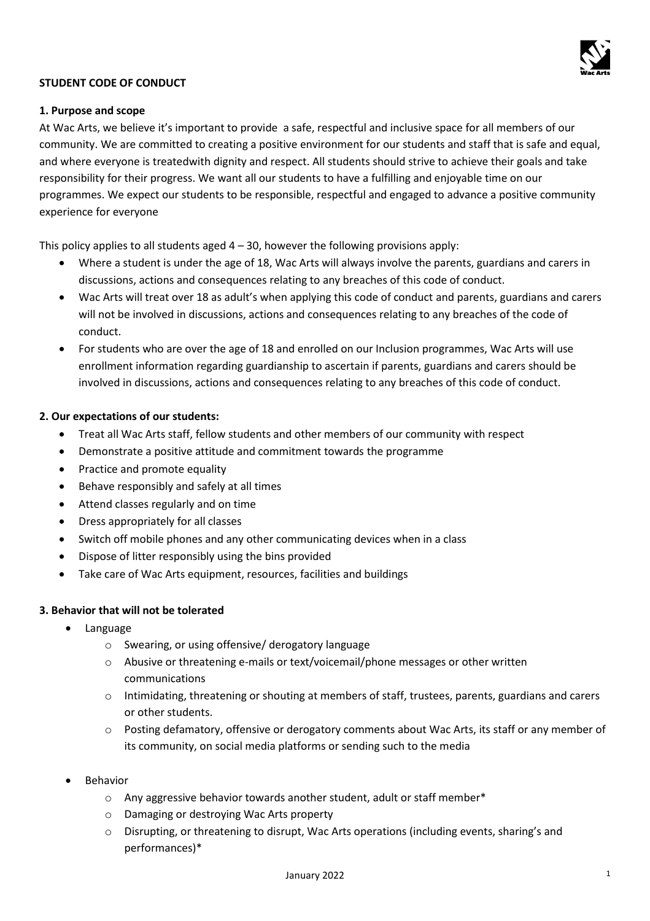

# **STUDENT CODE OF CONDUCT**

## **1. Purpose and scope**

At Wac Arts, we believe it's important to provide a safe, respectful and inclusive space for all members of our community. We are committed to creating a positive environment for our students and staff that is safe and equal, and where everyone is treatedwith dignity and respect. All students should strive to achieve their goals and take responsibility for their progress. We want all our students to have a fulfilling and enjoyable time on our programmes. We expect our students to be responsible, respectful and engaged to advance a positive community experience for everyone

This policy applies to all students aged  $4 - 30$ , however the following provisions apply:

- Where a student is under the age of 18, Wac Arts will always involve the parents, guardians and carers in discussions, actions and consequences relating to any breaches of this code of conduct.
- Wac Arts will treat over 18 as adult's when applying this code of conduct and parents, guardians and carers will not be involved in discussions, actions and consequences relating to any breaches of the code of conduct.
- For students who are over the age of 18 and enrolled on our Inclusion programmes, Wac Arts will use enrollment information regarding guardianship to ascertain if parents, guardians and carers should be involved in discussions, actions and consequences relating to any breaches of this code of conduct.

## **2. Our expectations of our students:**

- Treat all Wac Arts staff, fellow students and other members of our community with respect
- Demonstrate a positive attitude and commitment towards the programme
- Practice and promote equality
- Behave responsibly and safely at all times
- Attend classes regularly and on time
- Dress appropriately for all classes
- Switch off mobile phones and any other communicating devices when in a class
- Dispose of litter responsibly using the bins provided
- Take care of Wac Arts equipment, resources, facilities and buildings

## **3. Behavior that will not be tolerated**

- Language
	- o Swearing, or using offensive/ derogatory language
	- o Abusive or threatening e-mails or text/voicemail/phone messages or other written communications
	- o Intimidating, threatening or shouting at members of staff, trustees, parents, guardians and carers or other students.
	- o Posting defamatory, offensive or derogatory comments about Wac Arts, its staff or any member of its community, on social media platforms or sending such to the media
- **Behavior** 
	- $\circ$  Any aggressive behavior towards another student, adult or staff member\*
	- o Damaging or destroying Wac Arts property
	- $\circ$  Disrupting, or threatening to disrupt, Wac Arts operations (including events, sharing's and performances)\*